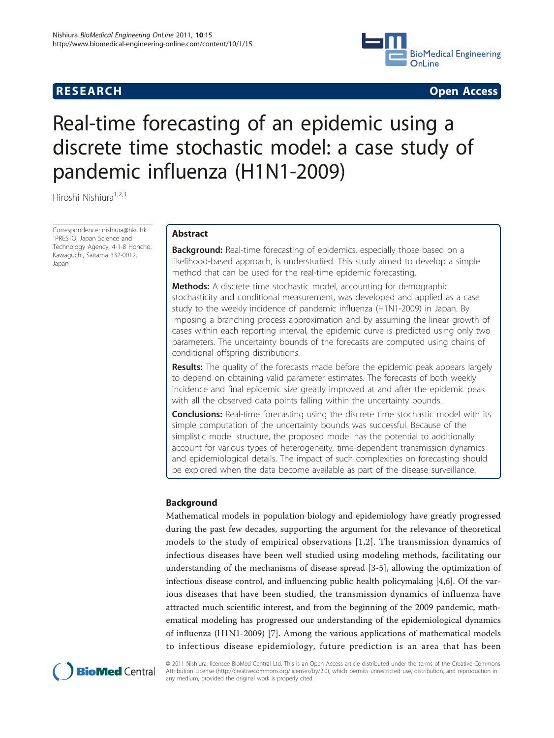

**RESEARCH CONSTRUCTION CONSTRUCTS** 

# Real-time forecasting of an epidemic using a discrete time stochastic model: a case study of pandemic influenza (H1N1-2009)

Hiroshi Nishiura<sup>1,2,3</sup>

Correspondence: [nishiura@hku.hk](mailto:nishiura@hku.hk) <sup>1</sup>PRESTO, Japan Science and Technology Agency, 4-1-8 Honcho, Kawaguchi, Saitama 332-0012, Japan

# Abstract

**Background:** Real-time forecasting of epidemics, especially those based on a likelihood-based approach, is understudied. This study aimed to develop a simple method that can be used for the real-time epidemic forecasting.

Methods: A discrete time stochastic model, accounting for demographic stochasticity and conditional measurement, was developed and applied as a case study to the weekly incidence of pandemic influenza (H1N1-2009) in Japan. By imposing a branching process approximation and by assuming the linear growth of cases within each reporting interval, the epidemic curve is predicted using only two parameters. The uncertainty bounds of the forecasts are computed using chains of conditional offspring distributions.

**Results:** The quality of the forecasts made before the epidemic peak appears largely to depend on obtaining valid parameter estimates. The forecasts of both weekly incidence and final epidemic size greatly improved at and after the epidemic peak with all the observed data points falling within the uncertainty bounds.

**Conclusions:** Real-time forecasting using the discrete time stochastic model with its simple computation of the uncertainty bounds was successful. Because of the simplistic model structure, the proposed model has the potential to additionally account for various types of heterogeneity, time-dependent transmission dynamics and epidemiological details. The impact of such complexities on forecasting should be explored when the data become available as part of the disease surveillance.

# Background

Mathematical models in population biology and epidemiology have greatly progressed during the past few decades, supporting the argument for the relevance of theoretical models to the study of empirical observations [[1,2](#page-14-0)]. The transmission dynamics of infectious diseases have been well studied using modeling methods, facilitating our understanding of the mechanisms of disease spread [\[3-5\]](#page-14-0), allowing the optimization of infectious disease control, and influencing public health policymaking [\[4,6\]](#page-14-0). Of the various diseases that have been studied, the transmission dynamics of influenza have attracted much scientific interest, and from the beginning of the 2009 pandemic, mathematical modeling has progressed our understanding of the epidemiological dynamics of influenza (H1N1-2009) [\[7](#page-14-0)]. Among the various applications of mathematical models to infectious disease epidemiology, future prediction is an area that has been



© 2011 Nishiura; licensee BioMed Central Ltd. This is an Open Access article distributed under the terms of the Creative Commons Attribution License [\(http://creativecommons.org/licenses/by/2.0](http://creativecommons.org/licenses/by/2.0)), which permits unrestricted use, distribution, and reproduction in any medium, provided the original work is properly cited.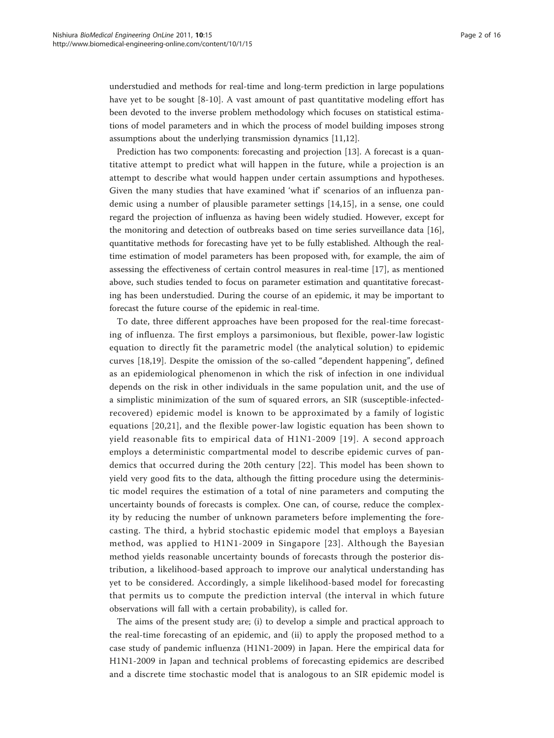understudied and methods for real-time and long-term prediction in large populations have yet to be sought [[8-10\]](#page-14-0). A vast amount of past quantitative modeling effort has been devoted to the inverse problem methodology which focuses on statistical estimations of model parameters and in which the process of model building imposes strong assumptions about the underlying transmission dynamics [[11](#page-14-0),[12](#page-14-0)].

Prediction has two components: forecasting and projection [[13](#page-14-0)]. A forecast is a quantitative attempt to predict what will happen in the future, while a projection is an attempt to describe what would happen under certain assumptions and hypotheses. Given the many studies that have examined 'what if' scenarios of an influenza pandemic using a number of plausible parameter settings [[14,15](#page-14-0)], in a sense, one could regard the projection of influenza as having been widely studied. However, except for the monitoring and detection of outbreaks based on time series surveillance data [\[16](#page-14-0)], quantitative methods for forecasting have yet to be fully established. Although the realtime estimation of model parameters has been proposed with, for example, the aim of assessing the effectiveness of certain control measures in real-time [[17\]](#page-14-0), as mentioned above, such studies tended to focus on parameter estimation and quantitative forecasting has been understudied. During the course of an epidemic, it may be important to forecast the future course of the epidemic in real-time.

To date, three different approaches have been proposed for the real-time forecasting of influenza. The first employs a parsimonious, but flexible, power-law logistic equation to directly fit the parametric model (the analytical solution) to epidemic curves [[18,19](#page-14-0)]. Despite the omission of the so-called "dependent happening", defined as an epidemiological phenomenon in which the risk of infection in one individual depends on the risk in other individuals in the same population unit, and the use of a simplistic minimization of the sum of squared errors, an SIR (susceptible-infectedrecovered) epidemic model is known to be approximated by a family of logistic equations [[20,21\]](#page-14-0), and the flexible power-law logistic equation has been shown to yield reasonable fits to empirical data of H1N1-2009 [[19\]](#page-14-0). A second approach employs a deterministic compartmental model to describe epidemic curves of pandemics that occurred during the 20th century [[22](#page-14-0)]. This model has been shown to yield very good fits to the data, although the fitting procedure using the deterministic model requires the estimation of a total of nine parameters and computing the uncertainty bounds of forecasts is complex. One can, of course, reduce the complexity by reducing the number of unknown parameters before implementing the forecasting. The third, a hybrid stochastic epidemic model that employs a Bayesian method, was applied to H1N1-2009 in Singapore [[23](#page-14-0)]. Although the Bayesian method yields reasonable uncertainty bounds of forecasts through the posterior distribution, a likelihood-based approach to improve our analytical understanding has yet to be considered. Accordingly, a simple likelihood-based model for forecasting that permits us to compute the prediction interval (the interval in which future observations will fall with a certain probability), is called for.

The aims of the present study are; (i) to develop a simple and practical approach to the real-time forecasting of an epidemic, and (ii) to apply the proposed method to a case study of pandemic influenza (H1N1-2009) in Japan. Here the empirical data for H1N1-2009 in Japan and technical problems of forecasting epidemics are described and a discrete time stochastic model that is analogous to an SIR epidemic model is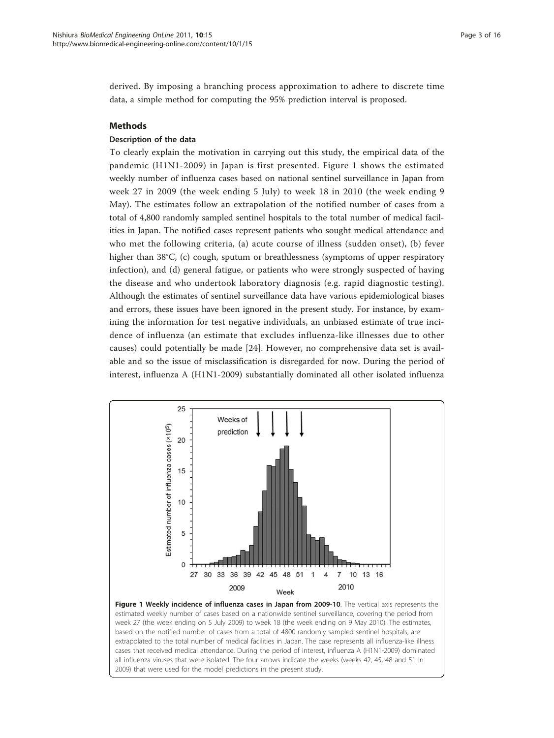<span id="page-2-0"></span>derived. By imposing a branching process approximation to adhere to discrete time data, a simple method for computing the 95% prediction interval is proposed.

# Methods

# Description of the data

To clearly explain the motivation in carrying out this study, the empirical data of the pandemic (H1N1-2009) in Japan is first presented. Figure 1 shows the estimated weekly number of influenza cases based on national sentinel surveillance in Japan from week 27 in 2009 (the week ending 5 July) to week 18 in 2010 (the week ending 9 May). The estimates follow an extrapolation of the notified number of cases from a total of 4,800 randomly sampled sentinel hospitals to the total number of medical facilities in Japan. The notified cases represent patients who sought medical attendance and who met the following criteria, (a) acute course of illness (sudden onset), (b) fever higher than 38°C, (c) cough, sputum or breathlessness (symptoms of upper respiratory infection), and (d) general fatigue, or patients who were strongly suspected of having the disease and who undertook laboratory diagnosis (e.g. rapid diagnostic testing). Although the estimates of sentinel surveillance data have various epidemiological biases and errors, these issues have been ignored in the present study. For instance, by examining the information for test negative individuals, an unbiased estimate of true incidence of influenza (an estimate that excludes influenza-like illnesses due to other causes) could potentially be made [\[24](#page-14-0)]. However, no comprehensive data set is available and so the issue of misclassification is disregarded for now. During the period of interest, influenza A (H1N1-2009) substantially dominated all other isolated influenza



based on the notified number of cases from a total of 4800 randomly sampled sentinel hospitals, are extrapolated to the total number of medical facilities in Japan. The case represents all influenza-like illness cases that received medical attendance. During the period of interest, influenza A (H1N1-2009) dominated all influenza viruses that were isolated. The four arrows indicate the weeks (weeks 42, 45, 48 and 51 in 2009) that were used for the model predictions in the present study.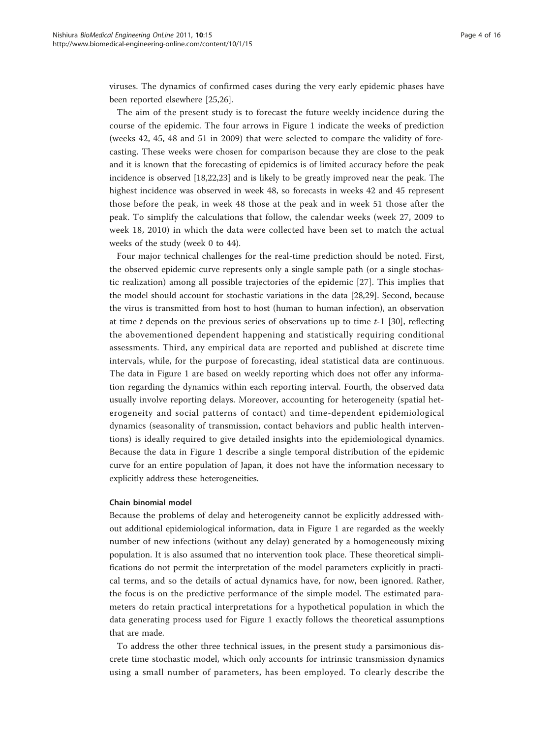viruses. The dynamics of confirmed cases during the very early epidemic phases have been reported elsewhere [\[25,26\]](#page-14-0).

The aim of the present study is to forecast the future weekly incidence during the course of the epidemic. The four arrows in Figure [1](#page-2-0) indicate the weeks of prediction (weeks 42, 45, 48 and 51 in 2009) that were selected to compare the validity of forecasting. These weeks were chosen for comparison because they are close to the peak and it is known that the forecasting of epidemics is of limited accuracy before the peak incidence is observed [\[18,22,23\]](#page-14-0) and is likely to be greatly improved near the peak. The highest incidence was observed in week 48, so forecasts in weeks 42 and 45 represent those before the peak, in week 48 those at the peak and in week 51 those after the peak. To simplify the calculations that follow, the calendar weeks (week 27, 2009 to week 18, 2010) in which the data were collected have been set to match the actual weeks of the study (week 0 to 44).

Four major technical challenges for the real-time prediction should be noted. First, the observed epidemic curve represents only a single sample path (or a single stochastic realization) among all possible trajectories of the epidemic [[27\]](#page-14-0). This implies that the model should account for stochastic variations in the data [[28](#page-14-0),[29](#page-14-0)]. Second, because the virus is transmitted from host to host (human to human infection), an observation at time t depends on the previous series of observations up to time  $t-1$  [[30](#page-14-0)], reflecting the abovementioned dependent happening and statistically requiring conditional assessments. Third, any empirical data are reported and published at discrete time intervals, while, for the purpose of forecasting, ideal statistical data are continuous. The data in Figure [1](#page-2-0) are based on weekly reporting which does not offer any information regarding the dynamics within each reporting interval. Fourth, the observed data usually involve reporting delays. Moreover, accounting for heterogeneity (spatial heterogeneity and social patterns of contact) and time-dependent epidemiological dynamics (seasonality of transmission, contact behaviors and public health interventions) is ideally required to give detailed insights into the epidemiological dynamics. Because the data in Figure [1](#page-2-0) describe a single temporal distribution of the epidemic curve for an entire population of Japan, it does not have the information necessary to explicitly address these heterogeneities.

# Chain binomial model

Because the problems of delay and heterogeneity cannot be explicitly addressed without additional epidemiological information, data in Figure [1](#page-2-0) are regarded as the weekly number of new infections (without any delay) generated by a homogeneously mixing population. It is also assumed that no intervention took place. These theoretical simplifications do not permit the interpretation of the model parameters explicitly in practical terms, and so the details of actual dynamics have, for now, been ignored. Rather, the focus is on the predictive performance of the simple model. The estimated parameters do retain practical interpretations for a hypothetical population in which the data generating process used for Figure [1](#page-2-0) exactly follows the theoretical assumptions that are made.

To address the other three technical issues, in the present study a parsimonious discrete time stochastic model, which only accounts for intrinsic transmission dynamics using a small number of parameters, has been employed. To clearly describe the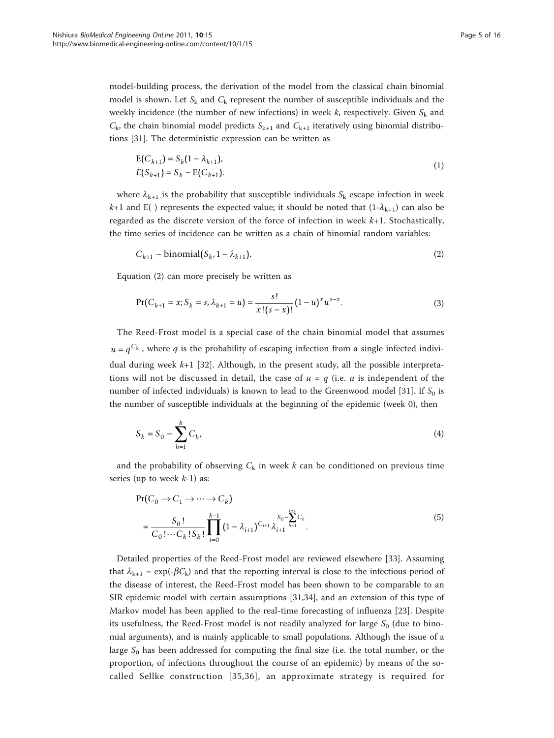model-building process, the derivation of the model from the classical chain binomial model is shown. Let  $S_k$  and  $C_k$  represent the number of susceptible individuals and the weekly incidence (the number of new infections) in week k, respectively. Given  $S_k$  and  $C_{k}$ , the chain binomial model predicts  $S_{k+1}$  and  $C_{k+1}$  iteratively using binomial distributions [[31\]](#page-14-0). The deterministic expression can be written as

$$
E(C_{k+1}) = S_k(1 - \lambda_{k+1}),
$$
  
\n
$$
E(S_{k+1}) = S_k - E(C_{k+1}).
$$
\n(1)

where  $\lambda_{k+1}$  is the probability that susceptible individuals  $S_k$  escape infection in week  $k+1$  and E( ) represents the expected value; it should be noted that  $(1-\lambda_{k+1})$  can also be regarded as the discrete version of the force of infection in week  $k+1$ . Stochastically, the time series of incidence can be written as a chain of binomial random variables:

$$
C_{k+1} \sim \text{binomial}(S_k, 1 - \lambda_{k+1}).\tag{2}
$$

Equation (2) can more precisely be written as

$$
\Pr(C_{k+1} = x; S_k = s, \lambda_{k+1} = u) = \frac{s!}{x!(s-x)!} (1-u)^x u^{s-x}.
$$
 (3)

The Reed-Frost model is a special case of the chain binomial model that assumes  $u = q^{C_k}$ , where q is the probability of escaping infection from a single infected individual during week  $k+1$  [\[32](#page-15-0)]. Although, in the present study, all the possible interpretations will not be discussed in detail, the case of  $u = q$  (i.e. u is independent of the number of infected individuals) is known to lead to the Greenwood model [[31\]](#page-14-0). If  $S_0$  is the number of susceptible individuals at the beginning of the epidemic (week 0), then

$$
S_k = S_0 - \sum_{h=1}^k C_h,
$$
\n(4)

and the probability of observing  $C_k$  in week k can be conditioned on previous time series (up to week  $k-1$ ) as:

$$
Pr(C_0 \to C_1 \to \cdots \to C_k)
$$
  
=  $\frac{S_0!}{C_0! \cdots C_k! S_k!} \prod_{i=0}^{k-1} (1 - \lambda_{i+1})^{C_{i+1}} \lambda_{i+1}^{S_0 - \sum_{h=1}^{i+1} C_h}$  (5)

Detailed properties of the Reed-Frost model are reviewed elsewhere [[33\]](#page-15-0). Assuming that  $\lambda_{k+1} = \exp(-\beta C_k)$  and that the reporting interval is close to the infectious period of the disease of interest, the Reed-Frost model has been shown to be comparable to an SIR epidemic model with certain assumptions [[31,](#page-14-0)[34\]](#page-15-0), and an extension of this type of Markov model has been applied to the real-time forecasting of influenza [[23\]](#page-14-0). Despite its usefulness, the Reed-Frost model is not readily analyzed for large  $S_0$  (due to binomial arguments), and is mainly applicable to small populations. Although the issue of a large  $S_0$  has been addressed for computing the final size (i.e. the total number, or the proportion, of infections throughout the course of an epidemic) by means of the socalled Sellke construction [[35,36\]](#page-15-0), an approximate strategy is required for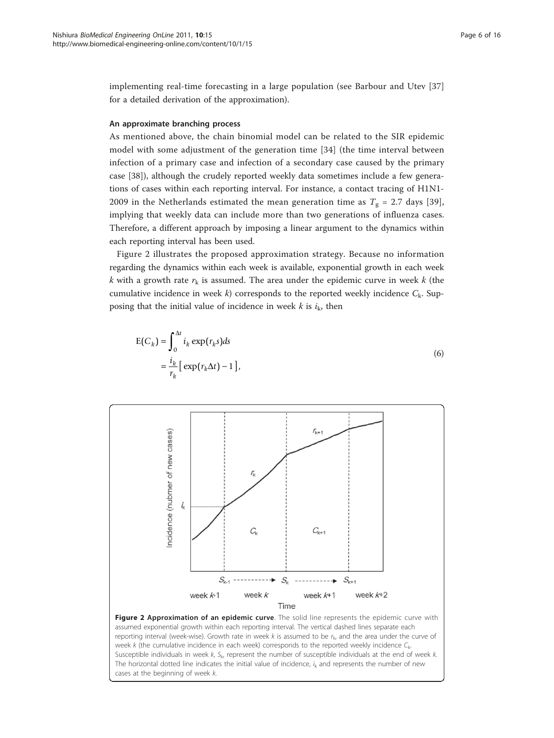implementing real-time forecasting in a large population (see Barbour and Utev [\[37](#page-15-0)] for a detailed derivation of the approximation).

# An approximate branching process

As mentioned above, the chain binomial model can be related to the SIR epidemic model with some adjustment of the generation time [[34](#page-15-0)] (the time interval between infection of a primary case and infection of a secondary case caused by the primary case [\[38](#page-15-0)]), although the crudely reported weekly data sometimes include a few generations of cases within each reporting interval. For instance, a contact tracing of H1N1- 2009 in the Netherlands estimated the mean generation time as  $T_g = 2.7$  days [[39](#page-15-0)], implying that weekly data can include more than two generations of influenza cases. Therefore, a different approach by imposing a linear argument to the dynamics within each reporting interval has been used.

Figure 2 illustrates the proposed approximation strategy. Because no information regarding the dynamics within each week is available, exponential growth in each week k with a growth rate  $r_k$  is assumed. The area under the epidemic curve in week k (the cumulative incidence in week  $k$ ) corresponds to the reported weekly incidence  $C_k$ . Supposing that the initial value of incidence in week  $k$  is  $i_k$ , then

$$
E(C_k) = \int_0^{\Delta t} i_k \exp(r_k s) ds
$$
  
=  $\frac{i_k}{r_k} [\exp(r_k \Delta t) - 1],$  (6)

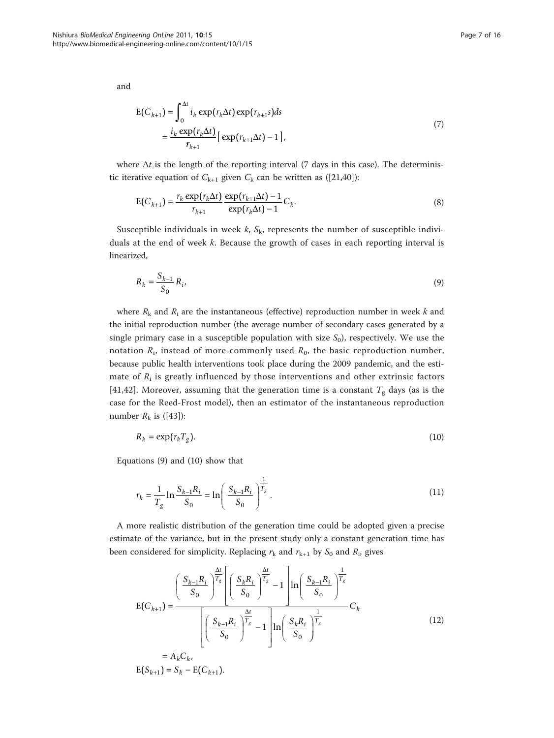and

$$
E(C_{k+1}) = \int_0^{\Delta t} i_k \exp(r_k \Delta t) \exp(r_{k+1} s) ds
$$
  
= 
$$
\frac{i_k \exp(r_k \Delta t)}{r_{k+1}} \left[ \exp(r_{k+1} \Delta t) - 1 \right],
$$
 (7)

where  $\Delta t$  is the length of the reporting interval (7 days in this case). The deterministic iterative equation of  $C_{k+1}$  given  $C_k$  can be written as ([\[21](#page-14-0)[,40\]](#page-15-0)):

$$
E(C_{k+1}) = \frac{r_k \exp(r_k \Delta t)}{r_{k+1}} \frac{\exp(r_{k+1} \Delta t) - 1}{\exp(r_k \Delta t) - 1} C_k.
$$
\n(8)

Susceptible individuals in week  $k$ ,  $S_k$ , represents the number of susceptible individuals at the end of week k. Because the growth of cases in each reporting interval is linearized,

$$
R_k = \frac{S_{k-1}}{S_0} R_i,
$$
\n(9)

where  $R_k$  and  $R_i$  are the instantaneous (effective) reproduction number in week k and the initial reproduction number (the average number of secondary cases generated by a single primary case in a susceptible population with size  $S_0$ ), respectively. We use the notation  $R_i$ , instead of more commonly used  $R_0$ , the basic reproduction number, because public health interventions took place during the 2009 pandemic, and the estimate of  $R_i$  is greatly influenced by those interventions and other extrinsic factors [[41,42](#page-15-0)]. Moreover, assuming that the generation time is a constant  $T<sub>g</sub>$  days (as is the case for the Reed-Frost model), then an estimator of the instantaneous reproduction number  $R_k$  is ([\[43](#page-15-0)]):

$$
R_k = \exp(r_k T_g). \tag{10}
$$

Equations (9) and (10) show that

$$
r_k = \frac{1}{T_s} \ln \frac{S_{k-1}R_i}{S_0} = \ln \left( \frac{S_{k-1}R_i}{S_0} \right)^{\frac{1}{T_s}}.
$$
\n(11)

A more realistic distribution of the generation time could be adopted given a precise estimate of the variance, but in the present study only a constant generation time has been considered for simplicity. Replacing  $r_k$  and  $r_{k+1}$  by  $S_0$  and  $R_i$ , gives

$$
E(C_{k+1}) = \frac{\left(\frac{S_{k-1}R_i}{S_0}\right)^{\frac{\Delta t}{T_s}} \left[\left(\frac{S_kR_i}{S_0}\right)^{\frac{\Delta t}{T_s}} - 1\right] \ln\left(\frac{S_{k-1}R_i}{S_0}\right)^{\frac{1}{T_s}}}{\left[\left(\frac{S_{k-1}R_i}{S_0}\right)^{\frac{\Delta t}{T_s}} - 1\right] \ln\left(\frac{S_kR_i}{S_0}\right)^{\frac{1}{T_s}}} C_k
$$
\n
$$
= A_k C_k,
$$
\n
$$
E(S_{k+1}) = S_k - E(C_{k+1}).
$$
\n(12)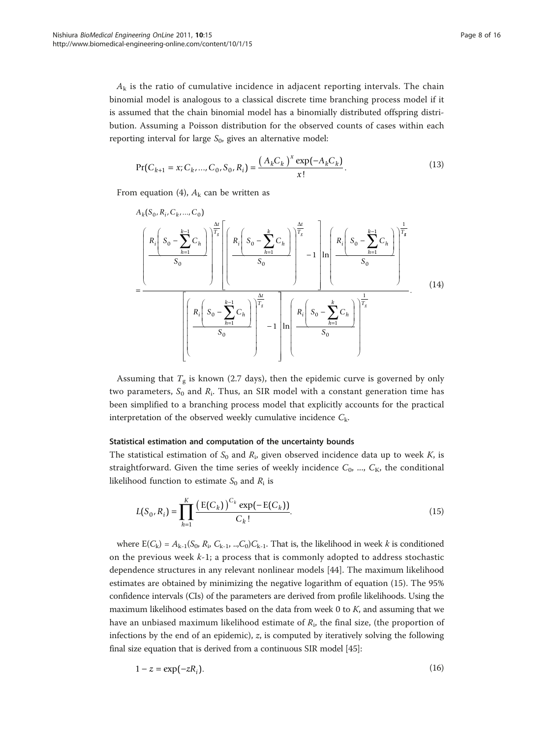$A_k$  is the ratio of cumulative incidence in adjacent reporting intervals. The chain binomial model is analogous to a classical discrete time branching process model if it is assumed that the chain binomial model has a binomially distributed offspring distribution. Assuming a Poisson distribution for the observed counts of cases within each reporting interval for large  $S_0$ , gives an alternative model:

$$
Pr(C_{k+1} = x; C_k, ..., C_0, S_0, R_i) = \frac{(A_k C_k)^x \exp(-A_k C_k)}{x!}.
$$
\n(13)

From equation (4),  $A_k$  can be written as

$$
A_{k}(S_{0}, R_{i}, C_{k},..., C_{0})
$$
\n
$$
= \frac{\left(R_{i}\left(S_{0}-\sum_{h=1}^{k-1} C_{h}\right)\right)^{\frac{\Delta t}{T_{s}}}\left[\left(R_{i}\left(S_{0}-\sum_{h=1}^{k} C_{h}\right)\right)^{\frac{\Delta t}{T_{s}}}-1\right] \ln\left[\frac{R_{i}\left(S_{0}-\sum_{h=1}^{k-1} C_{h}\right)}{S_{0}}\right]^{\frac{1}{T_{s}}}
$$
\n
$$
= \frac{\left(R_{i}\left(S_{0}-\sum_{h=1}^{k-1} C_{h}\right)\right)^{\frac{\Delta t}{T_{s}}}-1\right] \ln\left[\frac{R_{i}\left(S_{0}-\sum_{h=1}^{k} C_{h}\right)}{S_{0}}\right]^{\frac{1}{T_{s}}}
$$
\n
$$
(14)
$$

Assuming that  $T_g$  is known (2.7 days), then the epidemic curve is governed by only two parameters,  $S_0$  and  $R_i$ . Thus, an SIR model with a constant generation time has been simplified to a branching process model that explicitly accounts for the practical interpretation of the observed weekly cumulative incidence  $C_{k}$ .

#### Statistical estimation and computation of the uncertainty bounds

The statistical estimation of  $S_0$  and  $R_i$ , given observed incidence data up to week K, is straightforward. Given the time series of weekly incidence  $C_0$ , ...,  $C_K$ , the conditional likelihood function to estimate  $S_0$  and  $R_i$  is

$$
L(S_0, R_i) = \prod_{h=1}^{K} \frac{\left( E(C_k) \right)^{C_k} \exp(-E(C_k))}{C_k!}.
$$
\n(15)

where  $E(C_k) = A_{k-1}(S_0, R_i, C_{k-1}, ..., C_0)C_{k-1}$ . That is, the likelihood in week k is conditioned on the previous week k-1; a process that is commonly adopted to address stochastic dependence structures in any relevant nonlinear models [[44\]](#page-15-0). The maximum likelihood estimates are obtained by minimizing the negative logarithm of equation (15). The 95% confidence intervals (CIs) of the parameters are derived from profile likelihoods. Using the maximum likelihood estimates based on the data from week 0 to  $K$ , and assuming that we have an unbiased maximum likelihood estimate of  $R_i$ , the final size, (the proportion of infections by the end of an epidemic),  $z$ , is computed by iteratively solving the following final size equation that is derived from a continuous SIR model [[45](#page-15-0)]:

$$
1 - z = \exp(-zR_i). \tag{16}
$$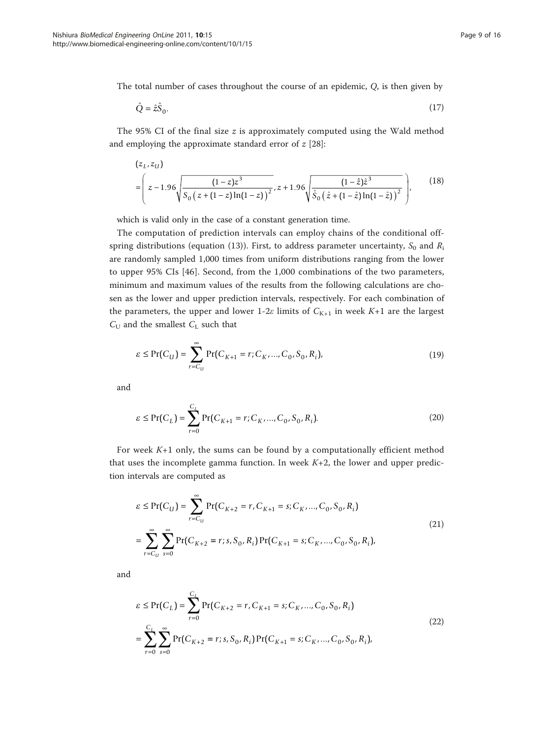The total number of cases throughout the course of an epidemic, Q, is then given by

$$
\hat{Q} = \hat{z}\hat{S}_0. \tag{17}
$$

The 95% CI of the final size  $z$  is approximately computed using the Wald method and employing the approximate standard error of  $z$  [\[28\]](#page-14-0):

$$
\begin{aligned} \n(z_L, z_U) &= \left(z - 1.96 \sqrt{\frac{(1 - z)z^3}{S_0 \left(z + (1 - z) \ln(1 - z)\right)^2}}, z + 1.96 \sqrt{\frac{(1 - \hat{z})\hat{z}^3}{\hat{S}_0 \left(\hat{z} + (1 - \hat{z}) \ln(1 - \hat{z})\right)^2}}\right), \qquad (18) \n\end{aligned}
$$

which is valid only in the case of a constant generation time.

The computation of prediction intervals can employ chains of the conditional offspring distributions (equation (13)). First, to address parameter uncertainty,  $S_0$  and  $R_i$ are randomly sampled 1,000 times from uniform distributions ranging from the lower to upper 95% CIs [[46](#page-15-0)]. Second, from the 1,000 combinations of the two parameters, minimum and maximum values of the results from the following calculations are chosen as the lower and upper prediction intervals, respectively. For each combination of the parameters, the upper and lower 1-2 $\varepsilon$  limits of  $C_{K+1}$  in week  $K+1$  are the largest  $C_U$  and the smallest  $C_L$  such that

$$
\varepsilon \le \Pr(C_U) = \sum_{r=C_U}^{\infty} \Pr(C_{K+1} = r; C_K, ..., C_0, S_0, R_i),\tag{19}
$$

and

$$
\varepsilon \le \Pr(C_L) = \sum_{r=0}^{C_L} \Pr(C_{K+1} = r; C_K, ..., C_0, S_0, R_i).
$$
 (20)

For week  $K+1$  only, the sums can be found by a computationally efficient method that uses the incomplete gamma function. In week  $K+2$ , the lower and upper prediction intervals are computed as

$$
\varepsilon \le \Pr(C_{U}) = \sum_{r=C_{U}}^{\infty} \Pr(C_{K+2} = r, C_{K+1} = s; C_{K}, ..., C_{0}, S_{0}, R_{i})
$$
  
= 
$$
\sum_{r=C_{U}}^{\infty} \sum_{s=0}^{\infty} \Pr(C_{K+2} = r; s, S_{0}, R_{i}) \Pr(C_{K+1} = s; C_{K}, ..., C_{0}, S_{0}, R_{i}),
$$
 (21)

and

$$
\varepsilon \le \Pr(C_L) = \sum_{r=0}^{C_L} \Pr(C_{K+2} = r, C_{K+1} = s; C_K, ..., C_0, S_0, R_i)
$$
  
= 
$$
\sum_{r=0}^{C_L} \sum_{s=0}^{\infty} \Pr(C_{K+2} = r; s, S_0, R_i) \Pr(C_{K+1} = s; C_K, ..., C_0, S_0, R_i),
$$
 (22)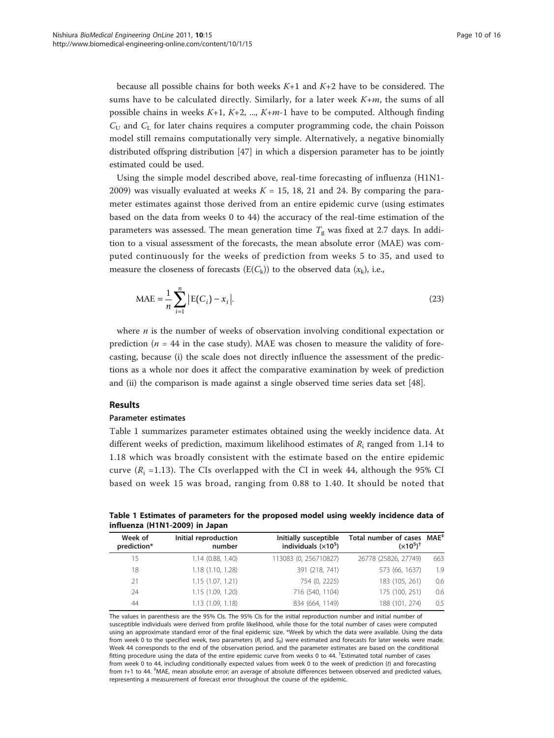<span id="page-9-0"></span>because all possible chains for both weeks  $K+1$  and  $K+2$  have to be considered. The sums have to be calculated directly. Similarly, for a later week  $K+m$ , the sums of all possible chains in weeks  $K+1$ ,  $K+2$ , ...,  $K+m-1$  have to be computed. Although finding  $C_U$  and  $C_L$  for later chains requires a computer programming code, the chain Poisson model still remains computationally very simple. Alternatively, a negative binomially distributed offspring distribution [\[47](#page-15-0)] in which a dispersion parameter has to be jointly estimated could be used.

Using the simple model described above, real-time forecasting of influenza (H1N1- 2009) was visually evaluated at weeks  $K = 15$ , 18, 21 and 24. By comparing the parameter estimates against those derived from an entire epidemic curve (using estimates based on the data from weeks 0 to 44) the accuracy of the real-time estimation of the parameters was assessed. The mean generation time  $T_g$  was fixed at 2.7 days. In addition to a visual assessment of the forecasts, the mean absolute error (MAE) was computed continuously for the weeks of prediction from weeks 5 to 35, and used to measure the closeness of forecasts  $(E(C_k))$  to the observed data  $(x_k)$ , i.e.,

$$
\text{MAE} = \frac{1}{n} \sum_{i=1}^{n} |E(C_i) - x_i|.
$$
 (23)

where  $n$  is the number of weeks of observation involving conditional expectation or prediction ( $n = 44$  in the case study). MAE was chosen to measure the validity of forecasting, because (i) the scale does not directly influence the assessment of the predictions as a whole nor does it affect the comparative examination by week of prediction and (ii) the comparison is made against a single observed time series data set [\[48](#page-15-0)].

#### Results

#### Parameter estimates

Table 1 summarizes parameter estimates obtained using the weekly incidence data. At different weeks of prediction, maximum likelihood estimates of  $R_i$  ranged from 1.14 to 1.18 which was broadly consistent with the estimate based on the entire epidemic curve ( $R_i$  =1.13). The CIs overlapped with the CI in week 44, although the 95% CI based on week 15 was broad, ranging from 0.88 to 1.40. It should be noted that

Table 1 Estimates of parameters for the proposed model using weekly incidence data of influenza (H1N1-2009) in Japan

| Week of<br>prediction* | Initial reproduction<br>number | Initially susceptible<br>individuals $(x105)$ | Total number of cases MAE <sup>#</sup><br>$(x10^5)^+$ |     |
|------------------------|--------------------------------|-----------------------------------------------|-------------------------------------------------------|-----|
| 15                     | 1.14 (0.88, 1.40)              | 113083 (0, 256710827)                         | 26778 (25826, 27749)                                  | 663 |
| 18                     | 1.18 (1.10, 1.28)              | 391 (218, 741)                                | 573 (66, 1637)                                        | 1.9 |
| 21                     | 1.15(1.07, 1.21)               | 754 (0, 2225)                                 | 183 (105, 261)                                        | 0.6 |
| 24                     | 1.15 (1.09, 1.20)              | 716 (540, 1104)                               | 175 (100, 251)                                        | 0.6 |
| 44                     | 1.13 (1.09, 1.18)              | 834 (664, 1149)                               | 188 (101, 274)                                        | 0.5 |

The values in parenthesis are the 95% CIs. The 95% CIs for the initial reproduction number and initial number of susceptible individuals were derived from profile likelihood, while those for the total number of cases were computed using an approximate standard error of the final epidemic size. \*Week by which the data were available. Using the data from week 0 to the specified week, two parameters ( $R_i$  and  $S_0$ ) were estimated and forecasts for later weeks were made. Week 44 corresponds to the end of the observation period, and the parameter estimates are based on the conditional fitting procedure using the data of the entire epidemic curve from weeks 0 to 44. <sup>†</sup>Estimated total number of cases from week 0 to 44, including conditionally expected values from week 0 to the week of prediction (t) and forecasting from t+1 to 44. <sup>‡</sup>MAE, mean absolute error; an average of absolute differences between observed and predicted values, representing a measurement of forecast error throughout the course of the epidemic.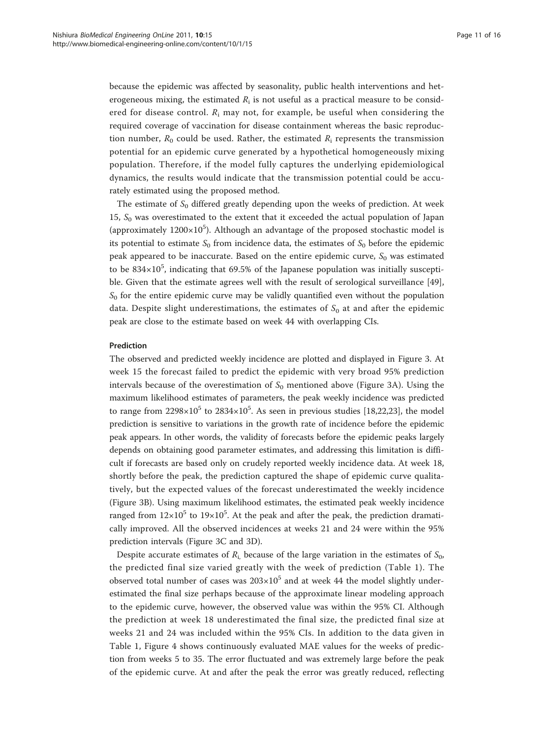because the epidemic was affected by seasonality, public health interventions and heterogeneous mixing, the estimated  $R_i$  is not useful as a practical measure to be considered for disease control.  $R_i$  may not, for example, be useful when considering the required coverage of vaccination for disease containment whereas the basic reproduction number,  $R_0$  could be used. Rather, the estimated  $R_i$  represents the transmission potential for an epidemic curve generated by a hypothetical homogeneously mixing population. Therefore, if the model fully captures the underlying epidemiological dynamics, the results would indicate that the transmission potential could be accurately estimated using the proposed method.

The estimate of  $S_0$  differed greatly depending upon the weeks of prediction. At week 15,  $S_0$  was overestimated to the extent that it exceeded the actual population of Japan (approximately  $1200\times10^{5}$ ). Although an advantage of the proposed stochastic model is its potential to estimate  $S_0$  from incidence data, the estimates of  $S_0$  before the epidemic peak appeared to be inaccurate. Based on the entire epidemic curve,  $S_0$  was estimated to be 834 $\times10^5$ , indicating that 69.5% of the Japanese population was initially susceptible. Given that the estimate agrees well with the result of serological surveillance [\[49](#page-15-0)],  $S_0$  for the entire epidemic curve may be validly quantified even without the population data. Despite slight underestimations, the estimates of  $S_0$  at and after the epidemic peak are close to the estimate based on week 44 with overlapping CIs.

# Prediction

The observed and predicted weekly incidence are plotted and displayed in Figure [3](#page-11-0). At week 15 the forecast failed to predict the epidemic with very broad 95% prediction intervals because of the overestimation of  $S_0$  mentioned above (Figure [3A](#page-11-0)). Using the maximum likelihood estimates of parameters, the peak weekly incidence was predicted to range from  $2298\times10^5$  to  $2834\times10^5$ . As seen in previous studies [\[18,22,23\]](#page-14-0), the model prediction is sensitive to variations in the growth rate of incidence before the epidemic peak appears. In other words, the validity of forecasts before the epidemic peaks largely depends on obtaining good parameter estimates, and addressing this limitation is difficult if forecasts are based only on crudely reported weekly incidence data. At week 18, shortly before the peak, the prediction captured the shape of epidemic curve qualitatively, but the expected values of the forecast underestimated the weekly incidence (Figure [3B](#page-11-0)). Using maximum likelihood estimates, the estimated peak weekly incidence ranged from  $12\times10^5$  to  $19\times10^5$ . At the peak and after the peak, the prediction dramatically improved. All the observed incidences at weeks 21 and 24 were within the 95% prediction intervals (Figure [3C](#page-11-0) and [3D\)](#page-11-0).

Despite accurate estimates of  $R_i$ , because of the large variation in the estimates of  $S_0$ , the predicted final size varied greatly with the week of prediction (Table [1](#page-9-0)). The observed total number of cases was  $203\times10^5$  and at week 44 the model slightly underestimated the final size perhaps because of the approximate linear modeling approach to the epidemic curve, however, the observed value was within the 95% CI. Although the prediction at week 18 underestimated the final size, the predicted final size at weeks 21 and 24 was included within the 95% CIs. In addition to the data given in Table [1,](#page-9-0) Figure [4](#page-12-0) shows continuously evaluated MAE values for the weeks of prediction from weeks 5 to 35. The error fluctuated and was extremely large before the peak of the epidemic curve. At and after the peak the error was greatly reduced, reflecting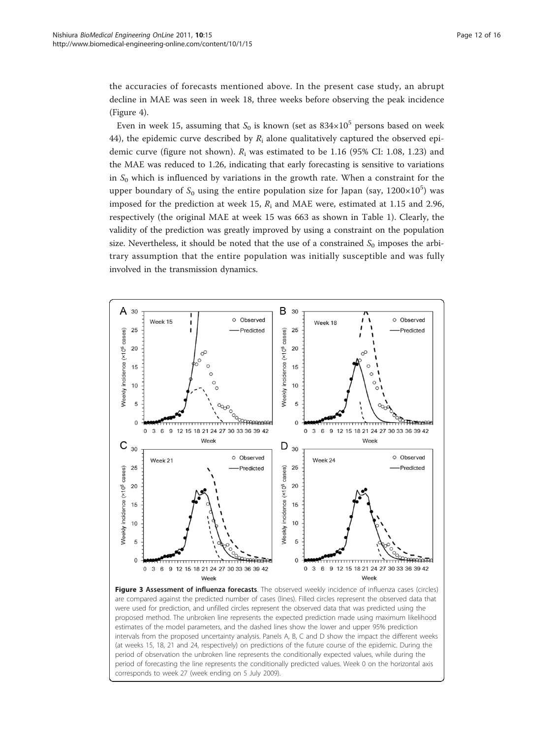<span id="page-11-0"></span>the accuracies of forecasts mentioned above. In the present case study, an abrupt decline in MAE was seen in week 18, three weeks before observing the peak incidence (Figure [4\)](#page-12-0).

Even in week 15, assuming that  $S_0$  is known (set as  $834 \times 10^5$  persons based on week 44), the epidemic curve described by  $R_i$  alone qualitatively captured the observed epidemic curve (figure not shown).  $R_i$  was estimated to be 1.16 (95% CI: 1.08, 1.23) and the MAE was reduced to 1.26, indicating that early forecasting is sensitive to variations in  $S_0$  which is influenced by variations in the growth rate. When a constraint for the upper boundary of  $S_0$  using the entire population size for Japan (say, 1200 $\times 10^5)$  was imposed for the prediction at week 15,  $R_i$  and MAE were, estimated at 1.15 and 2.96, respectively (the original MAE at week 15 was 663 as shown in Table [1\)](#page-9-0). Clearly, the validity of the prediction was greatly improved by using a constraint on the population size. Nevertheless, it should be noted that the use of a constrained  $S_0$  imposes the arbitrary assumption that the entire population was initially susceptible and was fully involved in the transmission dynamics.



Figure 3 Assessment of influenza forecasts. The observed weekly incidence of influenza cases (circles) are compared against the predicted number of cases (lines). Filled circles represent the observed data that were used for prediction, and unfilled circles represent the observed data that was predicted using the proposed method. The unbroken line represents the expected prediction made using maximum likelihood estimates of the model parameters, and the dashed lines show the lower and upper 95% prediction intervals from the proposed uncertainty analysis. Panels A, B, C and D show the impact the different weeks (at weeks 15, 18, 21 and 24, respectively) on predictions of the future course of the epidemic. During the period of observation the unbroken line represents the conditionally expected values, while during the period of forecasting the line represents the conditionally predicted values. Week 0 on the horizontal axis corresponds to week 27 (week ending on 5 July 2009).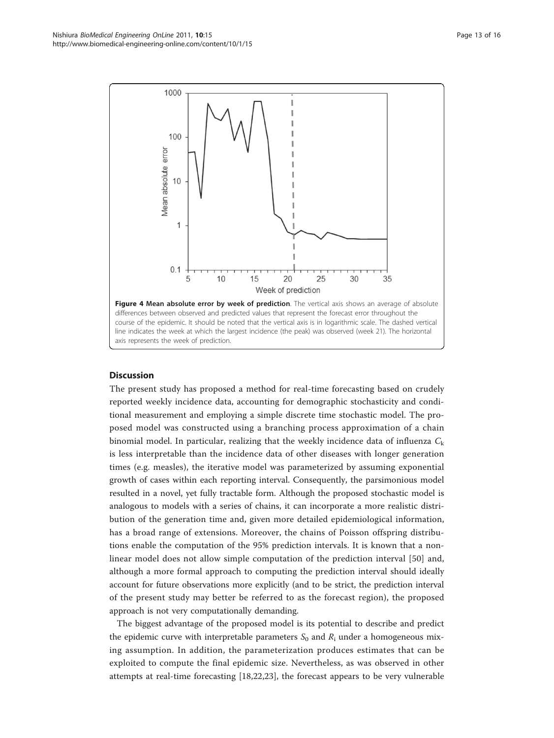<span id="page-12-0"></span>

# **Discussion**

The present study has proposed a method for real-time forecasting based on crudely reported weekly incidence data, accounting for demographic stochasticity and conditional measurement and employing a simple discrete time stochastic model. The proposed model was constructed using a branching process approximation of a chain binomial model. In particular, realizing that the weekly incidence data of influenza  $C_k$ is less interpretable than the incidence data of other diseases with longer generation times (e.g. measles), the iterative model was parameterized by assuming exponential growth of cases within each reporting interval. Consequently, the parsimonious model resulted in a novel, yet fully tractable form. Although the proposed stochastic model is analogous to models with a series of chains, it can incorporate a more realistic distribution of the generation time and, given more detailed epidemiological information, has a broad range of extensions. Moreover, the chains of Poisson offspring distributions enable the computation of the 95% prediction intervals. It is known that a nonlinear model does not allow simple computation of the prediction interval [[50](#page-15-0)] and, although a more formal approach to computing the prediction interval should ideally account for future observations more explicitly (and to be strict, the prediction interval of the present study may better be referred to as the forecast region), the proposed approach is not very computationally demanding.

The biggest advantage of the proposed model is its potential to describe and predict the epidemic curve with interpretable parameters  $S_0$  and  $R_i$  under a homogeneous mixing assumption. In addition, the parameterization produces estimates that can be exploited to compute the final epidemic size. Nevertheless, as was observed in other attempts at real-time forecasting [\[18,22,23](#page-14-0)], the forecast appears to be very vulnerable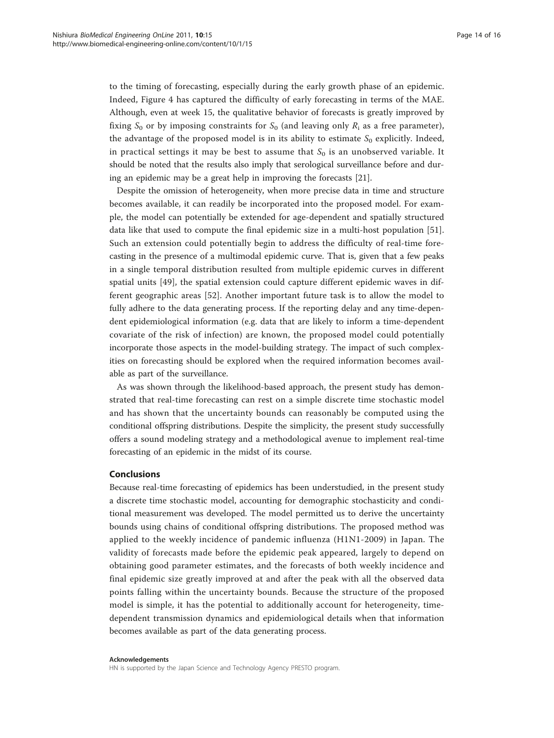to the timing of forecasting, especially during the early growth phase of an epidemic. Indeed, Figure [4](#page-12-0) has captured the difficulty of early forecasting in terms of the MAE. Although, even at week 15, the qualitative behavior of forecasts is greatly improved by fixing  $S_0$  or by imposing constraints for  $S_0$  (and leaving only  $R_i$  as a free parameter), the advantage of the proposed model is in its ability to estimate  $S_0$  explicitly. Indeed, in practical settings it may be best to assume that  $S_0$  is an unobserved variable. It should be noted that the results also imply that serological surveillance before and during an epidemic may be a great help in improving the forecasts [\[21\]](#page-14-0).

Despite the omission of heterogeneity, when more precise data in time and structure becomes available, it can readily be incorporated into the proposed model. For example, the model can potentially be extended for age-dependent and spatially structured data like that used to compute the final epidemic size in a multi-host population [\[51](#page-15-0)]. Such an extension could potentially begin to address the difficulty of real-time forecasting in the presence of a multimodal epidemic curve. That is, given that a few peaks in a single temporal distribution resulted from multiple epidemic curves in different spatial units [[49\]](#page-15-0), the spatial extension could capture different epidemic waves in different geographic areas [[52](#page-15-0)]. Another important future task is to allow the model to fully adhere to the data generating process. If the reporting delay and any time-dependent epidemiological information (e.g. data that are likely to inform a time-dependent covariate of the risk of infection) are known, the proposed model could potentially incorporate those aspects in the model-building strategy. The impact of such complexities on forecasting should be explored when the required information becomes available as part of the surveillance.

As was shown through the likelihood-based approach, the present study has demonstrated that real-time forecasting can rest on a simple discrete time stochastic model and has shown that the uncertainty bounds can reasonably be computed using the conditional offspring distributions. Despite the simplicity, the present study successfully offers a sound modeling strategy and a methodological avenue to implement real-time forecasting of an epidemic in the midst of its course.

### Conclusions

Because real-time forecasting of epidemics has been understudied, in the present study a discrete time stochastic model, accounting for demographic stochasticity and conditional measurement was developed. The model permitted us to derive the uncertainty bounds using chains of conditional offspring distributions. The proposed method was applied to the weekly incidence of pandemic influenza (H1N1-2009) in Japan. The validity of forecasts made before the epidemic peak appeared, largely to depend on obtaining good parameter estimates, and the forecasts of both weekly incidence and final epidemic size greatly improved at and after the peak with all the observed data points falling within the uncertainty bounds. Because the structure of the proposed model is simple, it has the potential to additionally account for heterogeneity, timedependent transmission dynamics and epidemiological details when that information becomes available as part of the data generating process.

HN is supported by the Japan Science and Technology Agency PRESTO program.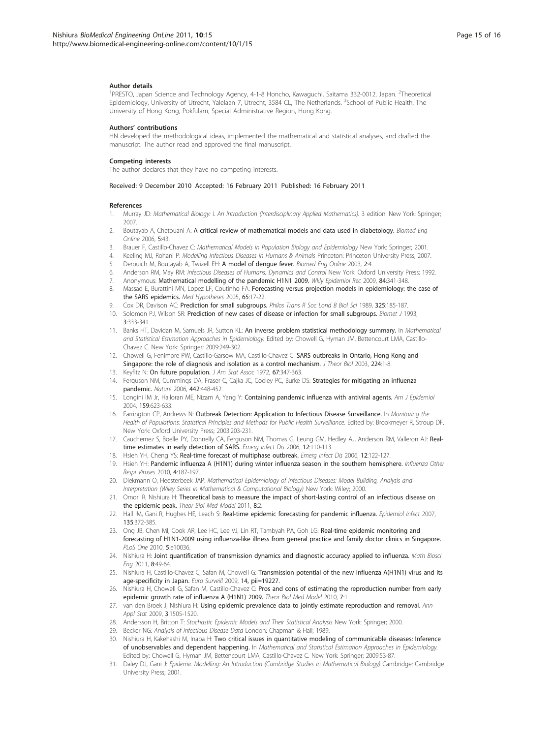#### <span id="page-14-0"></span>Author details

<sup>1</sup>PRESTO, Japan Science and Technology Agency, 4-1-8 Honcho, Kawaguchi, Saitama 332-0012, Japan. <sup>2</sup>Theoretical Epidemiology, University of Utrecht, Yalelaan 7, Utrecht, 3584 CL, The Netherlands. <sup>3</sup>School of Public Health, The University of Hong Kong, Pokfulam, Special Administrative Region, Hong Kong.

#### Authors' contributions

HN developed the methodological ideas, implemented the mathematical and statistical analyses, and drafted the manuscript. The author read and approved the final manuscript.

#### Competing interests

The author declares that they have no competing interests.

#### Received: 9 December 2010 Accepted: 16 February 2011 Published: 16 February 2011

#### References

- 1. Murray JD: Mathematical Biology: I. An Introduction (Interdisciplinary Applied Mathematics). 3 edition. New York: Springer; 2007.
- 2. Boutayab A, Chetouani A: A critical review of mathematical models and data used in diabetology. Biomed Eng Online 2006, 5:43.
- 3. Brauer F, Castillo-Chavez C: Mathematical Models in Population Biology and Epidemiology New York: Springer; 2001.
- Keeling MJ, Rohani P: Modelling Infectious Diseases in Humans & Animals Princeton: Princeton University Press; 2007.
- 5. Derouich M, Boutayab A, Twizell EH: A model of dengue fever. Biomed Eng Online 2003, 2:4.
- 6. Anderson RM, May RM: Infectious Diseases of Humans: Dynamics and Control New York: Oxford University Press; 1992.
- Anonymous: Mathematical modelling of the pandemic H1N1 2009. Wkly Epidemiol Rec 2009, 84:341-348.
- 8. Massad E, Burattini MN, Lopez LF, Coutinho FA: Forecasting versus projection models in epidemiology: the case of the SARS epidemics. Med Hypotheses 2005, 65:17-22.
- 9. Cox DR, Davison AC: Prediction for small subgroups. Philos Trans R Soc Lond B Biol Sci 1989, 325:185-187.
- 10. Solomon PJ, Wilson SR: Prediction of new cases of disease or infection for small subgroups. Biomet J 1993, 3:333-341.
- 11. Banks HT, Davidan M, Samuels JR, Sutton KL: An inverse problem statistical methodology summary. In Mathematical and Statistical Estimation Approaches in Epidemiology. Edited by: Chowell G, Hyman JM, Bettencourt LMA, Castillo-Chavez C. New York: Springer; 2009:249-302.
- 12. Chowell G, Fenimore PW, Castillo-Garsow MA, Castillo-Chavez C: SARS outbreaks in Ontario, Hong Kong and Singapore: the role of diagnosis and isolation as a control mechanism. *J Theor Biol* 2003, 224:1-8.
- 13. Keyfitz N: On future population. J Am Stat Assoc 1972, 67:347-363.
- 14. Ferguson NM, Cummings DA, Fraser C, Cajka JC, Cooley PC, Burke DS: Strategies for mitigating an influenza pandemic. Nature 2006, 442:448-452.
- 15. Longini IM Jr, Halloran ME, Nizam A, Yang Y: Containing pandemic influenza with antiviral agents. Am J Epidemiol 2004, 159:623-633.
- 16. Farrington CP, Andrews N: Outbreak Detection: Application to Infectious Disease Surveillance. In Monitoring the Health of Populations: Statistical Principles and Methods for Public Health Surveillance. Edited by: Brookmeyer R, Stroup DF. New York: Oxford University Press; 2003:203-231.
- 17. Cauchemez S, Boelle PY, Donnelly CA, Ferguson NM, Thomas G, Leung GM, Hedley AJ, Anderson RM, Valleron AJ: Realtime estimates in early detection of SARS. Emerg Infect Dis 2006, 12:110-113.
- 18. Hsieh YH, Cheng YS: Real-time forecast of multiphase outbreak. Emerg Infect Dis 2006, 12:122-127.
- 19. Hsieh YH: Pandemic influenza A (H1N1) during winter influenza season in the southern hemisphere. Influenza Other Respi Viruses 2010, 4:187-197.
- 20. Diekmann O, Heesterbeek JAP: Mathematical Epidemiology of Infectious Diseases: Model Building, Analysis and Interpretation (Wiley Series in Mathematical & Computational Biology) New York: Wiley; 2000.
- 21. Omori R, Nishiura H: Theoretical basis to measure the impact of short-lasting control of an infectious disease on the epidemic peak. Theor Biol Med Model 2011, 8:2.
- 22. Hall IM, Gani R, Hughes HE, Leach S: Real-time epidemic forecasting for pandemic influenza. Epidemiol Infect 2007, 135:372-385.
- 23. Ong JB, Chen MI, Cook AR, Lee HC, Lee VJ, Lin RT, Tambyah PA, Goh LG: Real-time epidemic monitoring and forecasting of H1N1-2009 using influenza-like illness from general practice and family doctor clinics in Singapore. PLoS One 2010, 5:e10036.
- 24. Nishiura H: Joint quantification of transmission dynamics and diagnostic accuracy applied to influenza. Math Biosci Eng 2011, 8:49-64.
- 25. Nishiura H, Castillo-Chavez C, Safan M, Chowell G: Transmission potential of the new influenza A(H1N1) virus and its age-specificity in Japan. Euro Surveill 2009, 14, pii=19227.
- 26. Nishiura H, Chowell G, Safan M, Castillo-Chavez C: Pros and cons of estimating the reproduction number from early epidemic growth rate of influenza A (H1N1) 2009. Theor Biol Med Model 2010, 7:1.
- 27. van den Broek J, Nishiura H: Using epidemic prevalence data to jointly estimate reproduction and removal. Ann Appl Stat 2009, 3:1505-1520.
- 28. Andersson H, Britton T: Stochastic Epidemic Models and Their Statistical Analysis New York: Springer; 2000.
- 29. Becker NG: Analysis of Infectious Disease Data London: Chapman & Hall; 1989.
- 30. Nishiura H, Kakehashi M, Inaba H: Two critical issues in quantitative modeling of communicable diseases: Inference of unobservables and dependent happening. In Mathematical and Statistical Estimation Approaches in Epidemiology. Edited by: Chowell G, Hyman JM, Bettencourt LMA, Castillo-Chavez C. New York: Springer; 2009:53-87.
- 31. Daley DJ, Gani J: Epidemic Modelling: An Introduction (Cambridge Studies in Mathematical Biology) Cambridge: Cambridge University Press; 2001.